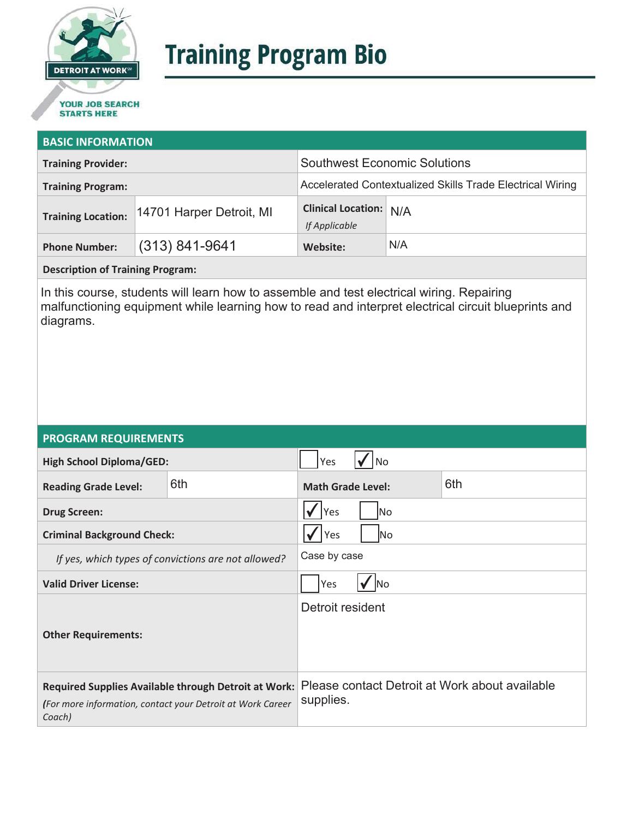

# **Training Program Bio**

## **STARTS HERE**

#### **BASIC INFORMATION**

| <b>Training Provider:</b>                             |          | <b>Southwest Economic Solutions</b>            |                                                           |  |
|-------------------------------------------------------|----------|------------------------------------------------|-----------------------------------------------------------|--|
| <b>Training Program:</b>                              |          |                                                | Accelerated Contextualized Skills Trade Electrical Wiring |  |
| 14701 Harper Detroit, MI<br><b>Training Location:</b> |          | <b>Clinical Location: N/A</b><br>If Applicable |                                                           |  |
| $(313) 841 - 9641$<br><b>Phone Number:</b>            | Website: |                                                | N/A                                                       |  |

**Description of Training Program:** 

In this course, students will learn how to assemble and test electrical wiring. Repairing malfunctioning equipment while learning how to read and interpret electrical circuit blueprints and diagrams.

#### **PROGRAM REQUIREMENTS**

| <b>High School Diploma/GED:</b>                                                                                              |                                                     | Yes                             | No         |                                                |
|------------------------------------------------------------------------------------------------------------------------------|-----------------------------------------------------|---------------------------------|------------|------------------------------------------------|
| <b>Reading Grade Level:</b>                                                                                                  | 6th                                                 | 6th<br><b>Math Grade Level:</b> |            |                                                |
| <b>Drug Screen:</b>                                                                                                          |                                                     | Yes                             | No.        |                                                |
| <b>Criminal Background Check:</b>                                                                                            |                                                     | Yes<br>lNo                      |            |                                                |
|                                                                                                                              | If yes, which types of convictions are not allowed? | Case by case                    |            |                                                |
| <b>Valid Driver License:</b>                                                                                                 |                                                     | Yes                             | <b>INo</b> |                                                |
| <b>Other Requirements:</b>                                                                                                   |                                                     | Detroit resident                |            |                                                |
| Required Supplies Available through Detroit at Work:<br>(For more information, contact your Detroit at Work Career<br>Coach) |                                                     | supplies.                       |            | Please contact Detroit at Work about available |